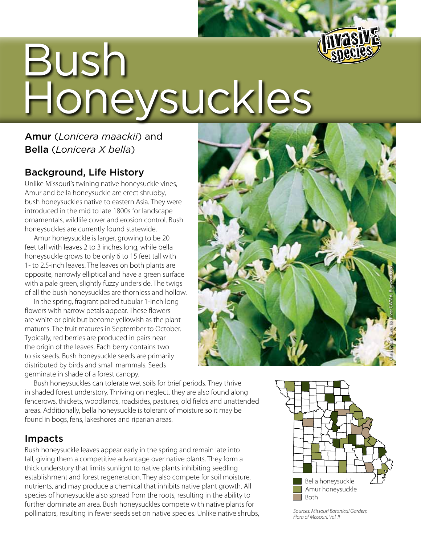

# Bush Honeysuckles

## Amur (*Lonicera maackii*) and Bella (*Lonicera X bella*)

#### Background, Life History

Unlike Missouri's twining native honeysuckle vines, Amur and bella honeysuckle are erect shrubby, bush honeysuckles native to eastern Asia. They were introduced in the mid to late 1800s for landscape ornamentals, wildlife cover and erosion control. Bush honeysuckles are currently found statewide.

Amur honeysuckle is larger, growing to be 20 feet tall with leaves 2 to 3 inches long, while bella honeysuckle grows to be only 6 to 15 feet tall with 1- to 2.5-inch leaves. The leaves on both plants are opposite, narrowly elliptical and have a green surface with a pale green, slightly fuzzy underside. The twigs of all the bush honeysuckles are thornless and hollow.

In the spring, fragrant paired tubular 1-inch long flowers with narrow petals appear. These flowers are white or pink but become yellowish as the plant matures. The fruit matures in September to October. Typically, red berries are produced in pairs near the origin of the leaves. Each berry contains two to six seeds. Bush honeysuckle seeds are primarily distributed by birds and small mammals. Seeds germinate in shade of a forest canopy.



Bush honeysuckles can tolerate wet soils for brief periods. They thrive in shaded forest understory. Thriving on neglect, they are also found along fencerows, thickets, woodlands, roadsides, pastures, old fields and unattended areas. Additionally, bella honeysuckle is tolerant of moisture so it may be found in bogs, fens, lakeshores and riparian areas.

#### Impacts

Bush honeysuckle leaves appear early in the spring and remain late into fall, giving them a competitive advantage over native plants. They form a thick understory that limits sunlight to native plants inhibiting seedling establishment and forest regeneration. They also compete for soil moisture, nutrients, and may produce a chemical that inhibits native plant growth. All species of honeysuckle also spread from the roots, resulting in the ability to further dominate an area. Bush honeysuckles compete with native plants for pollinators, resulting in fewer seeds set on native species. Unlike native shrubs,



*Sources: Missouri Botanical Garden; Flora of Missouri, Vol. II*